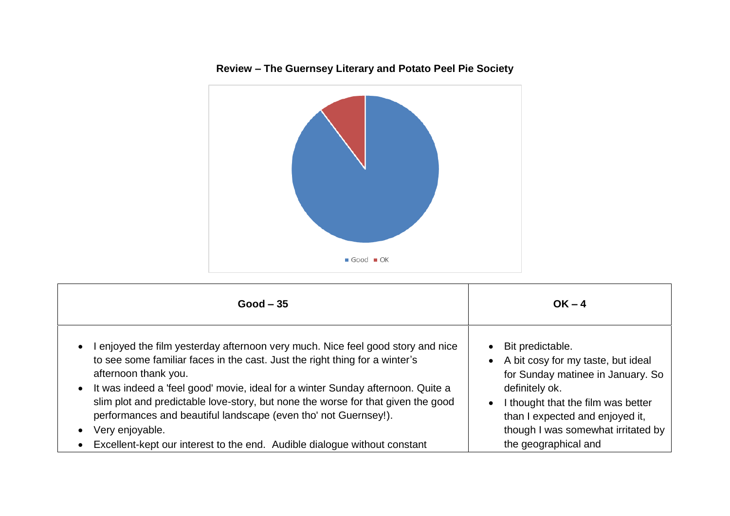



| $Good - 35$                                                                                                                                                                                                                                                                                                                                                                                                                                                                                                                                                | $OK - 4$                                                                                                                                                                                                                                                                                    |
|------------------------------------------------------------------------------------------------------------------------------------------------------------------------------------------------------------------------------------------------------------------------------------------------------------------------------------------------------------------------------------------------------------------------------------------------------------------------------------------------------------------------------------------------------------|---------------------------------------------------------------------------------------------------------------------------------------------------------------------------------------------------------------------------------------------------------------------------------------------|
| enjoyed the film yesterday afternoon very much. Nice feel good story and nice<br>$\bullet$<br>to see some familiar faces in the cast. Just the right thing for a winter's<br>afternoon thank you.<br>• It was indeed a 'feel good' movie, ideal for a winter Sunday afternoon. Quite a<br>slim plot and predictable love-story, but none the worse for that given the good<br>performances and beautiful landscape (even tho' not Guernsey!).<br>Very enjoyable.<br>$\bullet$<br>Excellent-kept our interest to the end. Audible dialogue without constant | Bit predictable.<br>$\bullet$<br>A bit cosy for my taste, but ideal<br>$\bullet$<br>for Sunday matinee in January. So<br>definitely ok.<br>I thought that the film was better<br>$\bullet$<br>than I expected and enjoyed it,<br>though I was somewhat irritated by<br>the geographical and |